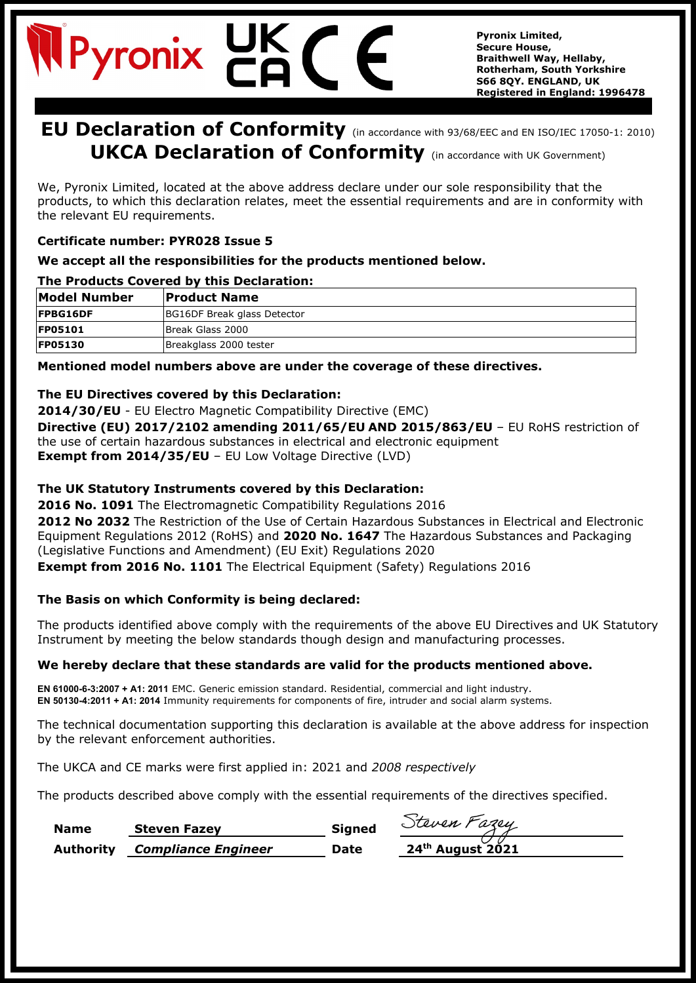# Pyronix

**Pyronix Limited, Secure House, Braithwell Way, Hellaby, Rotherham, South Yorkshire S66 8QY. ENGLAND, UK Registered in England: 1996478**

### **EU Declaration of Conformity** (in accordance with 93/68/EEC and EN ISO/IEC 17050-1: 2010) **UKCA Declaration of Conformity** (in accordance with UK Government)

We, Pyronix Limited, located at the above address declare under our sole responsibility that the products, to which this declaration relates, meet the essential requirements and are in conformity with the relevant EU requirements.

#### **Certificate number: PYR028 Issue 5**

#### **We accept all the responsibilities for the products mentioned below.**

#### **The Products Covered by this Declaration:**

| <b>Model Number</b> | <b>Product Name</b>         |
|---------------------|-----------------------------|
| <b>FPBG16DF</b>     | BG16DF Break glass Detector |
| <b>FP05101</b>      | Break Glass 2000            |
| <b>FP05130</b>      | Breakglass 2000 tester      |

**Mentioned model numbers above are under the coverage of these directives.**

#### **The EU Directives covered by this Declaration:**

**2014/30/EU** - EU Electro Magnetic Compatibility Directive (EMC)

**Directive (EU) 2017/2102 amending 2011/65/EU AND 2015/863/EU** – EU RoHS restriction of the use of certain hazardous substances in electrical and electronic equipment **Exempt from 2014/35/EU** - EU Low Voltage Directive (LVD)

#### **The UK Statutory Instruments covered by this Declaration:**

**2016 No. 1091** The Electromagnetic Compatibility Regulations 2016

**2012 No 2032** The Restriction of the Use of Certain Hazardous Substances in Electrical and Electronic Equipment Regulations 2012 (RoHS) and **2020 No. 1647** The Hazardous Substances and Packaging (Legislative Functions and Amendment) (EU Exit) Regulations 2020

**Exempt from 2016 No. 1101** The Electrical Equipment (Safety) Regulations 2016

#### **The Basis on which Conformity is being declared:**

The products identified above comply with the requirements of the above EU Directives and UK Statutory Instrument by meeting the below standards though design and manufacturing processes.

#### **We hereby declare that these standards are valid for the products mentioned above.**

**EN 61000-6-3:2007 + A1: 2011** EMC. Generic emission standard. Residential, commercial and light industry. **EN 50130-4:2011 + A1: 2014** Immunity requirements for components of fire, intruder and social alarm systems.

The technical documentation supporting this declaration is available at the above address for inspection by the relevant enforcement authorities.

The UKCA and CE marks were first applied in: 2021 and *2008 respectively*

The products described above comply with the essential requirements of the directives specified.

| <b>Name</b> | <b>Steven Fazey</b>                  | <b>Signed</b> | Steven Fazey                 |
|-------------|--------------------------------------|---------------|------------------------------|
|             | <b>Authority</b> Compliance Engineer | <b>Date</b>   | 24 <sup>th</sup> August 2021 |

| Twen Fazey       |  |
|------------------|--|
| 24th August 2021 |  |